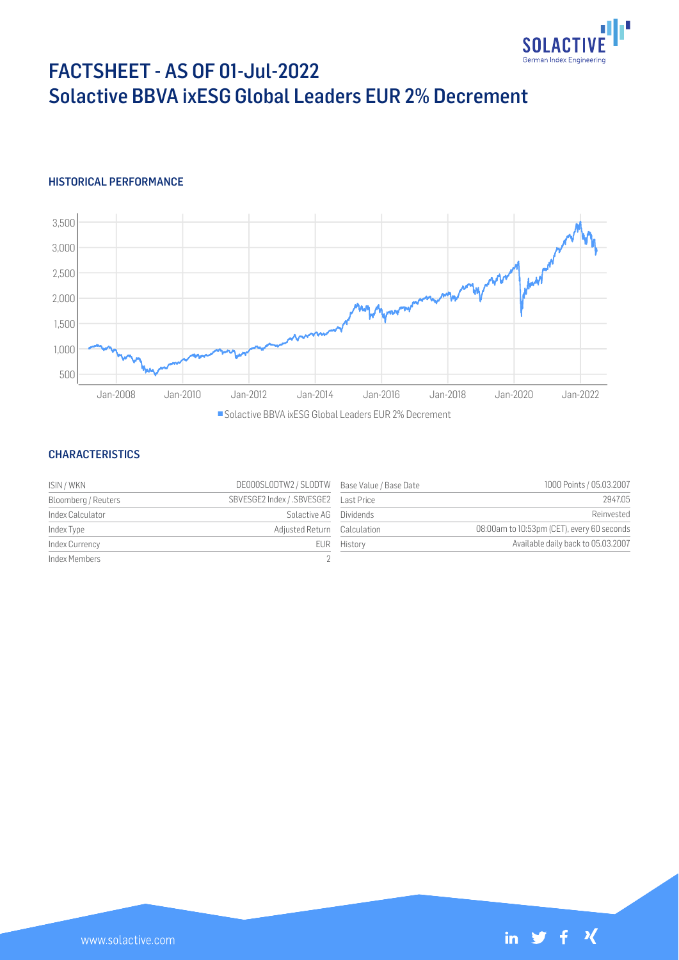

# FACTSHEET - AS OF 01-Jul-2022 Solactive BBVA ixESG Global Leaders EUR 2% Decrement

## HISTORICAL PERFORMANCE



Solactive BBVA ixESG Global Leaders EUR 2% Decrement

#### **CHARACTERISTICS**

| ISIN / WKN          | DE000SLODTW2 / SLODTW Base Value / Base Date |             | 1000 Points / 05.03.2007                   |
|---------------------|----------------------------------------------|-------------|--------------------------------------------|
| Bloomberg / Reuters |                                              |             | 2947.05                                    |
| Index Calculator    | Solactive AG Dividends                       |             | Reinvested                                 |
| Index Type          | Adjusted Return Calculation                  |             | 08:00am to 10:53pm (CET), every 60 seconds |
| Index Currency      |                                              | EUR History | Available daily back to 05.03.2007         |
| Index Members       |                                              |             |                                            |

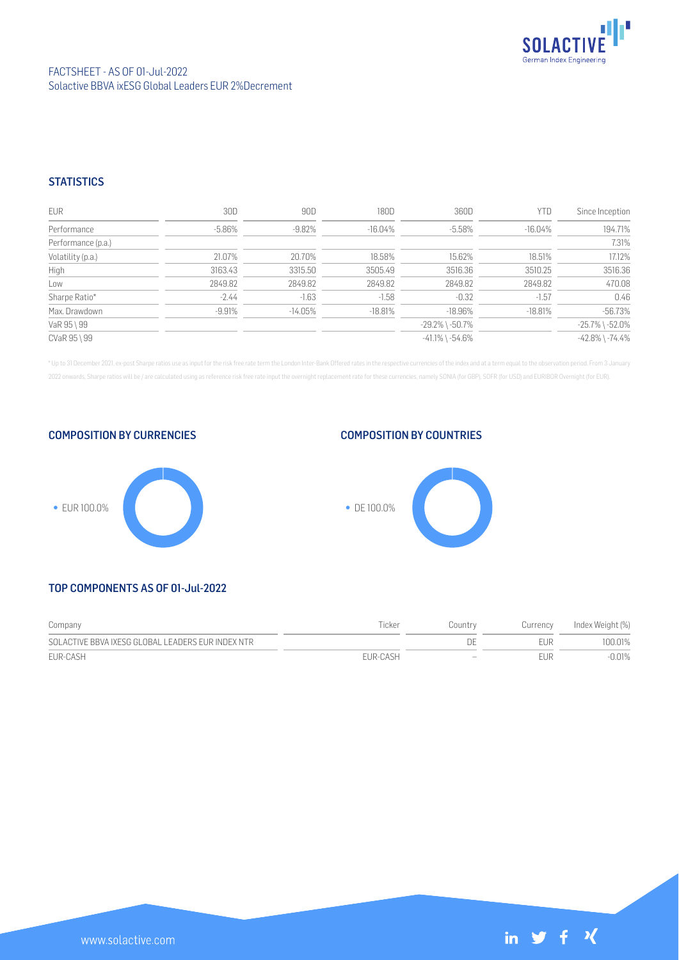

### FACTSHEET - AS OF 01-Jul-2022 Solactive BBVA ixESG Global Leaders EUR 2% Decrement

## **STATISTICS**

| <b>EUR</b>         | 30D       | 90D        | 180D       | 360D                  | <b>YTD</b> | Since Inception       |
|--------------------|-----------|------------|------------|-----------------------|------------|-----------------------|
| Performance        | $-5.86\%$ | $-9.82%$   | $-16.04\%$ | $-5.58%$              | $-16.04\%$ | 194.71%               |
| Performance (p.a.) |           |            |            |                       |            | 7.31%                 |
| Volatility (p.a.)  | 21.07%    | 20.70%     | 18.58%     | 15.62%                | 18.51%     | 17.12%                |
| High               | 3163.43   | 3315.50    | 3505.49    | 3516.36               | 3510.25    | 3516.36               |
| Low                | 2849.82   | 2849.82    | 2849.82    | 2849.82               | 2849.82    | 470.08                |
| Sharpe Ratio*      | $-2.44$   | $-1.63$    | $-1.58$    | $-0.32$               | $-1.57$    | 0.46                  |
| Max. Drawdown      | $-9.91%$  | $-14.05\%$ | $-18.81%$  | $-18.96%$             | $-18.81%$  | $-56.73%$             |
| VaR 95 \ 99        |           |            |            | $-29.2\%$ \ $-50.7\%$ |            | $-25.7\%$ \ $-52.0\%$ |
| CVaR 95 \ 99       |           |            |            | $-41.1\%$ \ $-54.6\%$ |            | $-42.8\%$ \ $-74.4\%$ |

\* Up to 31 December 2021, ex-post Sharpe ratios use as input for the risk free rate term the London Inter-Bank Offered rates in the respective currencies of the index and at a term equal to the observation period. From 3 J 2022 onwards, Sharpe ratios will be / are calculated using as reference risk free rate input the overnight replacement rate for these currencies, namely SONIA (for GBP), SOFR (for USD) and EURIBOR Overnight (for EUR).







COMPOSITION BY COUNTRIES

# TOP COMPONENTS AS OF 01-Jul-2022

| Company                                           | Ticker   | Country | Currency | Index Weight (%) |
|---------------------------------------------------|----------|---------|----------|------------------|
| SOLACTIVE BBVA IXESG GLOBAL LEADERS EUR INDEX NTR |          |         | FUR      | 100.01%          |
| EUR-CASH                                          | FUR-CASH | $-$     | FUR      | -0.01%           |